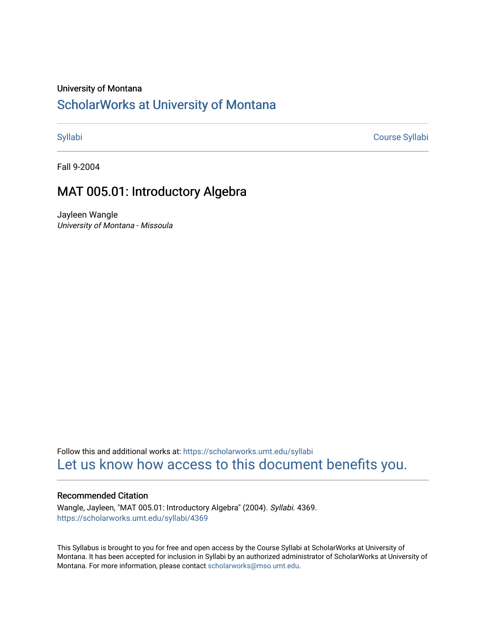### University of Montana

# [ScholarWorks at University of Montana](https://scholarworks.umt.edu/)

[Syllabi](https://scholarworks.umt.edu/syllabi) [Course Syllabi](https://scholarworks.umt.edu/course_syllabi) 

Fall 9-2004

# MAT 005.01: Introductory Algebra

Jayleen Wangle University of Montana - Missoula

Follow this and additional works at: [https://scholarworks.umt.edu/syllabi](https://scholarworks.umt.edu/syllabi?utm_source=scholarworks.umt.edu%2Fsyllabi%2F4369&utm_medium=PDF&utm_campaign=PDFCoverPages)  [Let us know how access to this document benefits you.](https://goo.gl/forms/s2rGfXOLzz71qgsB2) 

#### Recommended Citation

Wangle, Jayleen, "MAT 005.01: Introductory Algebra" (2004). Syllabi. 4369. [https://scholarworks.umt.edu/syllabi/4369](https://scholarworks.umt.edu/syllabi/4369?utm_source=scholarworks.umt.edu%2Fsyllabi%2F4369&utm_medium=PDF&utm_campaign=PDFCoverPages)

This Syllabus is brought to you for free and open access by the Course Syllabi at ScholarWorks at University of Montana. It has been accepted for inclusion in Syllabi by an authorized administrator of ScholarWorks at University of Montana. For more information, please contact [scholarworks@mso.umt.edu.](mailto:scholarworks@mso.umt.edu)